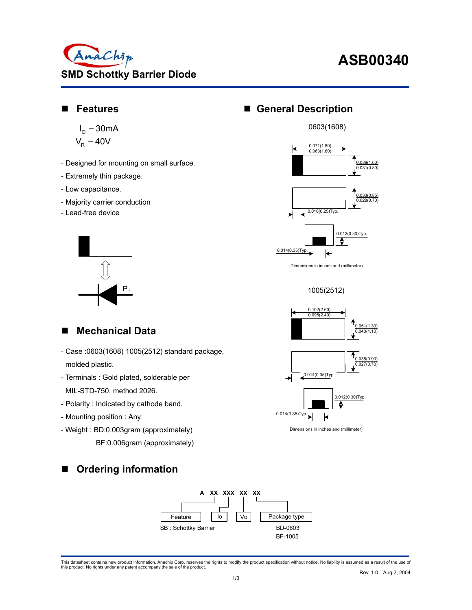

# **ASB00340**

#### **Features**

$$
I_{\text{O}} = 30 \text{mA}
$$

$$
V_{\text{R}} = 40 V
$$

- Designed for mounting on small surface.
- Extremely thin package.
- Low capacitance.
- Majority carrier conduction
- Lead-free device



### **General Description**





Dimensions in inches and (millimeter)

1005(2512)





Dimensions in inches and (millimeter)

#### **Mechanical Data**

- Case :0603(1608) 1005(2512) standard package, molded plastic.
- Terminals : Gold plated, solderable per MIL-STD-750, method 2026.
- Polarity : Indicated by cathode band.
- Mounting position : Any.
- Weight : BD:0.003gram (approximately) BF:0.006gram (approximately)





This datasheet contains new product information. Anachip Corp. reserves the rights to modify the product specification without notice. No liability is assumed as a result of the use of<br>this product. No rights under any pat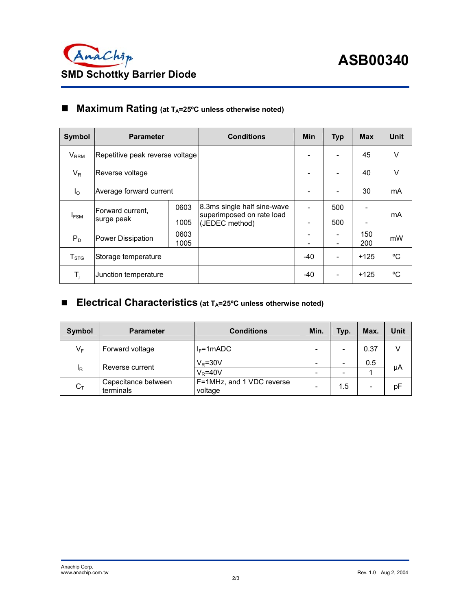

### ■ Maximum Rating (at T<sub>A</sub>=25°C unless otherwise noted)

| <b>Symbol</b>          | <b>Parameter</b>                |      | <b>Conditions</b>                                        | Min   | <b>Typ</b> | <b>Max</b> | Unit   |
|------------------------|---------------------------------|------|----------------------------------------------------------|-------|------------|------------|--------|
| $V_{RRM}$              | Repetitive peak reverse voltage |      |                                                          |       |            | 45         | $\vee$ |
| $V_R$                  | Reverse voltage                 |      |                                                          |       |            | 40         | $\vee$ |
| $I_{\Omega}$           | Average forward current         |      |                                                          |       |            | 30         | mA     |
| $I_{FSM}$              | Forward current,<br>surge peak  | 0603 | 8.3ms single half sine-wave<br>superimposed on rate load |       | 500        |            | mA     |
|                        |                                 | 1005 | (JEDEC method)                                           |       | 500        |            |        |
| $P_D$                  | <b>Power Dissipation</b>        | 0603 |                                                          |       | -          | 150        | mW     |
|                        |                                 | 1005 |                                                          |       |            | 200        |        |
| ${\sf T}_{\text{STG}}$ | Storage temperature             |      |                                                          | $-40$ |            | $+125$     | °C.    |
| $T_i$                  | Junction temperature            |      |                                                          | $-40$ |            | $+125$     | °C     |

### ■ Electrical Characteristics (at T<sub>A</sub>=25°C unless otherwise noted)

| Symbol | <b>Parameter</b>                 | <b>Conditions</b>                    | Min.                     | Typ. | Max. | Unit |
|--------|----------------------------------|--------------------------------------|--------------------------|------|------|------|
| $V_F$  | Forward voltage                  | $I_F = 1 mADC$                       | -                        |      | 0.37 |      |
| IR     | Reverse current                  | $V_R = 30V$                          |                          |      | 0.5  | μA   |
|        |                                  | $V_R = 40V$                          | $\overline{\phantom{0}}$ | -    |      |      |
| $C_T$  | Capacitance between<br>terminals | F=1MHz, and 1 VDC reverse<br>voltage | $\overline{\phantom{0}}$ | 1.5  |      | рF   |